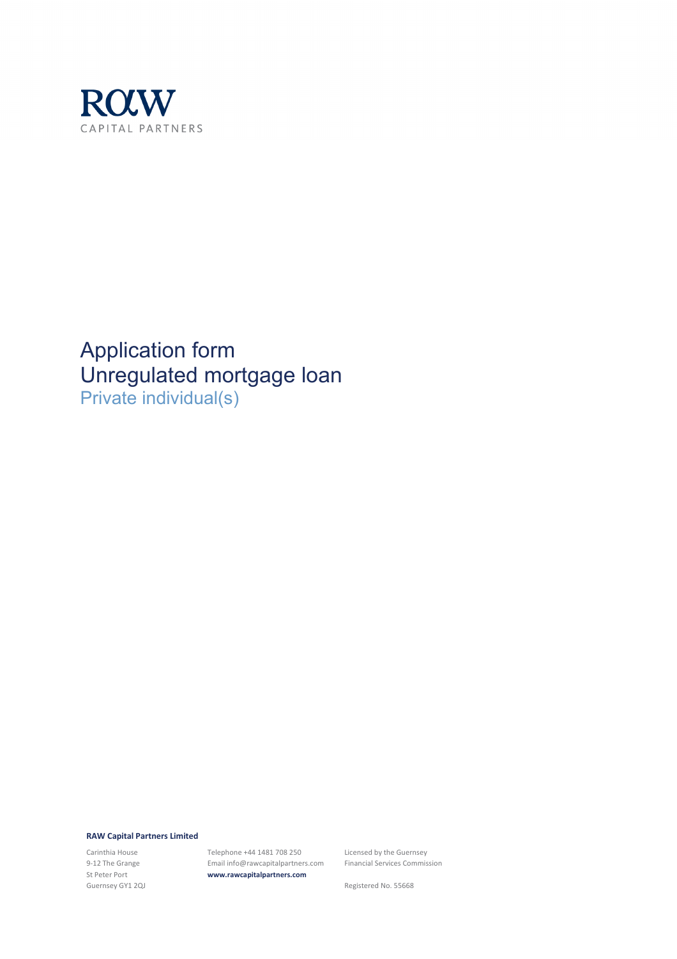

Application form Unregulated mortgage loan Private individual(s)

#### **RAW Capital Partners Limited**

Carinthia House 9-12 The Grange St Peter Port Guernsey GY1 2QJ Telephone +44 1481 708 250 Email info@rawcapitalpartners.com **www.rawcapitalpartners.com**

Licensed by the Guernsey Financial Services Commission

Registered No. 55668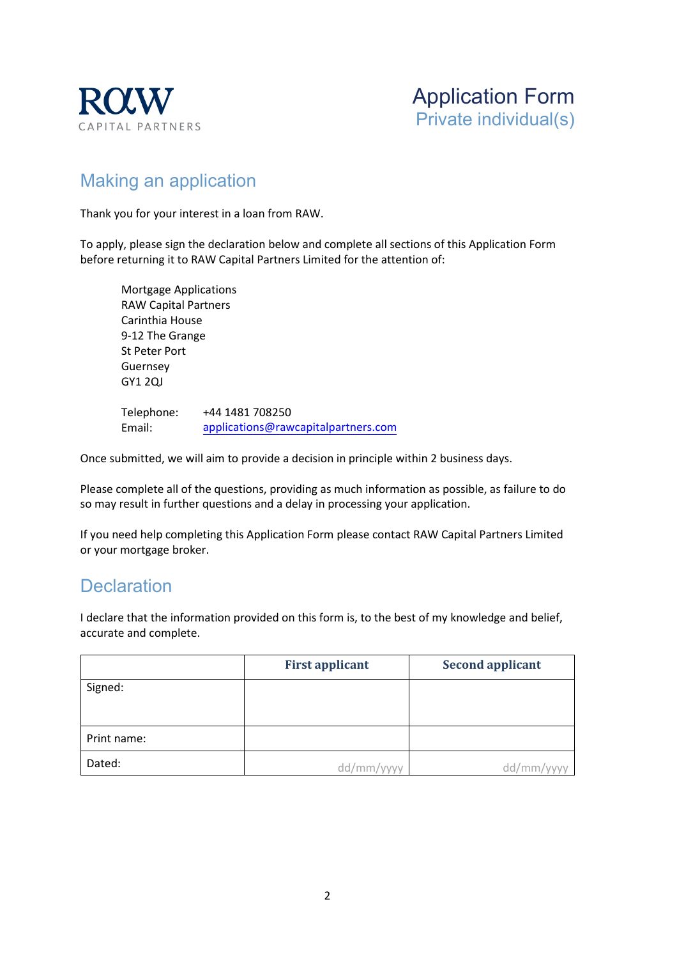



# Making an application

Thank you for your interest in a loan from RAW.

To apply, please sign the declaration below and complete all sections of this Application Form before returning it to RAW Capital Partners Limited for the attention of:

Mortgage Applications RAW Capital Partners Carinthia House 9-12 The Grange St Peter Port Guernsey GY1 2QJ

Telephone: Email: +44 1481 708250 applications[@rawcapitalpartners.com](mailto:mortgages@rawcapitalpartners.com)

Once submitted, we will aim to provide a decision in principle within 2 business days.

Please complete all of the questions, providing as much information as possible, as failure to do so may result in further questions and a delay in processing your application.

If you need help completing this Application Form please contact RAW Capital Partners Limited or your mortgage broker.

## **Declaration**

I declare that the information provided on this form is, to the best of my knowledge and belief, accurate and complete.

|             | <b>First applicant</b> | <b>Second applicant</b> |
|-------------|------------------------|-------------------------|
| Signed:     |                        |                         |
|             |                        |                         |
| Print name: |                        |                         |
| Dated:      | dd/mm/yyyy             | dd/mm                   |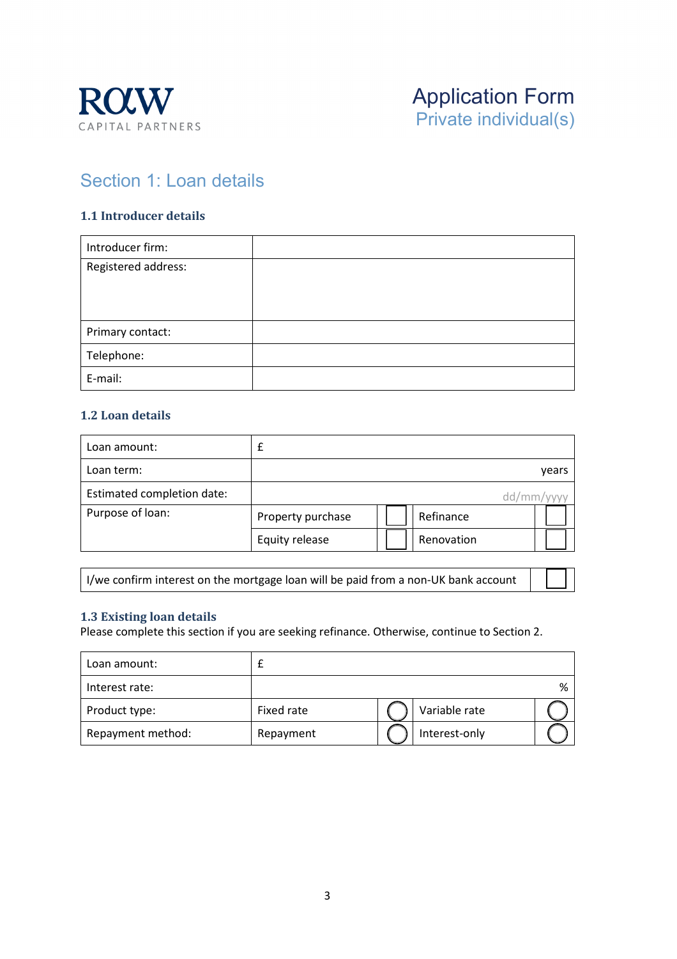



## Section 1: Loan details

#### **1.1 Introducer details**

| Introducer firm:    |  |
|---------------------|--|
| Registered address: |  |
|                     |  |
|                     |  |
| Primary contact:    |  |
| Telephone:          |  |
| E-mail:             |  |

#### **1.2 Loan details**

| Loan amount:               |                   |            |            |
|----------------------------|-------------------|------------|------------|
| Loan term:                 |                   |            | years      |
| Estimated completion date: |                   |            | dd/mm/yyyy |
| Purpose of loan:           | Property purchase | Refinance  |            |
|                            | Equity release    | Renovation |            |

I/we confirm interest on the mortgage loan will be paid from a non-UK bank account

#### **1.3 Existing loan details**

Please complete this section if you are seeking refinance. Otherwise, continue to Section 2.

| Loan amount:      |            |               |   |
|-------------------|------------|---------------|---|
| Interest rate:    |            |               | % |
| Product type:     | Fixed rate | Variable rate |   |
| Repayment method: | Repayment  | Interest-only |   |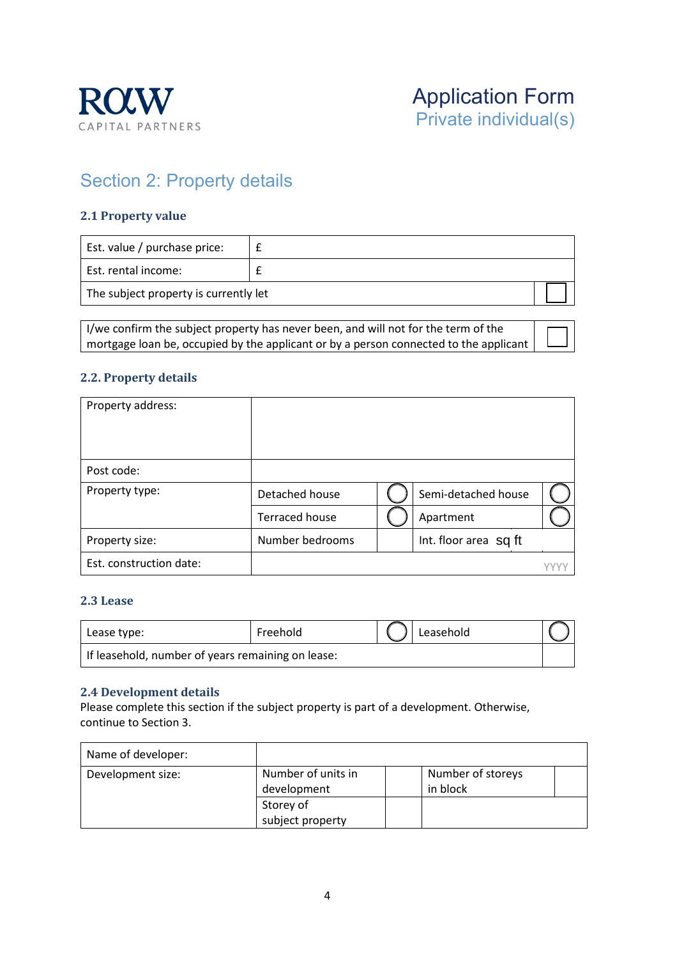



# Section 2: Property details

#### **2.1 Property value**

| Est. value / purchase price:          |  |
|---------------------------------------|--|
| Est. rental income:                   |  |
| The subject property is currently let |  |

I/we confirm the subject property has never been, and will not for the term of the mortgage loan be, occupied by the applicant or by a person connected to the applicant

#### **2.2. Property details**

| Property address:       |                       |                       |  |
|-------------------------|-----------------------|-----------------------|--|
| Post code:              |                       |                       |  |
| Property type:          | Detached house        | Semi-detached house   |  |
|                         | <b>Terraced house</b> | Apartment             |  |
| Property size:          | Number bedrooms       | Int. floor area sq ft |  |
| Est. construction date: |                       |                       |  |

#### **2.3 Lease**

| 'Lease type:                                      | Freehold | Leasehold |  |
|---------------------------------------------------|----------|-----------|--|
| If leasehold, number of years remaining on lease: |          |           |  |

#### **2.4 Development details**

Please complete this section if the subject property is part of a development. Otherwise, continue to Section 3.

| Name of developer: |                                   |                               |  |
|--------------------|-----------------------------------|-------------------------------|--|
| Development size:  | Number of units in<br>development | Number of storeys<br>in block |  |
|                    | Storey of                         |                               |  |
|                    | subject property                  |                               |  |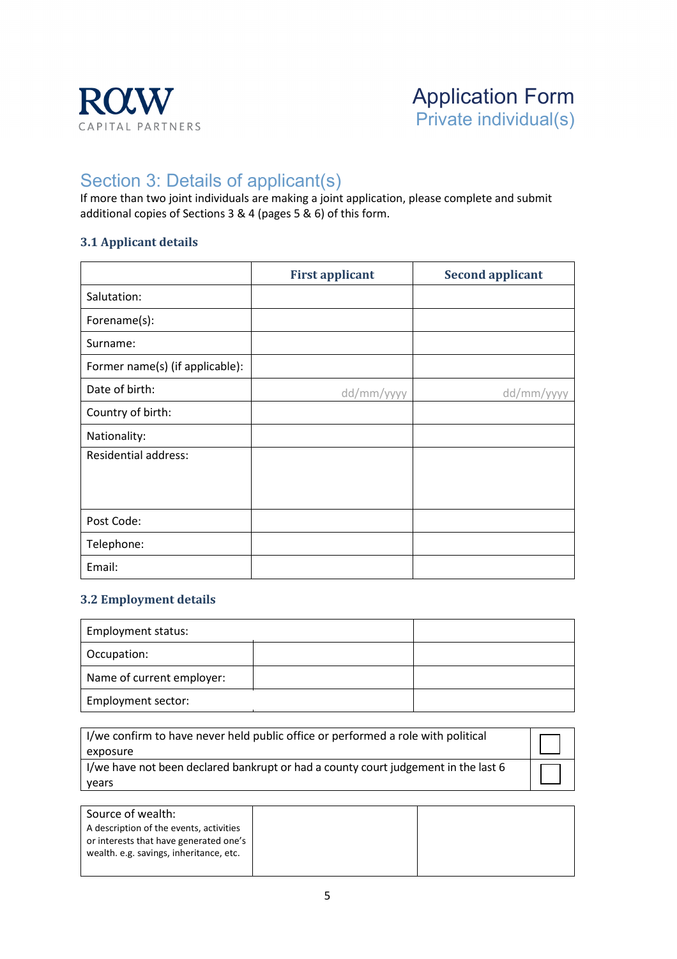

## Section 3: Details of applicant(s)

If more than two joint individuals are making a joint application, please complete and submit additional copies of Sections 3 & 4 (pages 5 & 6) of this form.

### **3.1 Applicant details**

|                                 | <b>First applicant</b> | <b>Second applicant</b> |
|---------------------------------|------------------------|-------------------------|
| Salutation:                     |                        |                         |
| Forename(s):                    |                        |                         |
| Surname:                        |                        |                         |
| Former name(s) (if applicable): |                        |                         |
| Date of birth:                  | dd/mm/yyyy             | dd/mm/yyyy              |
| Country of birth:               |                        |                         |
| Nationality:                    |                        |                         |
| <b>Residential address:</b>     |                        |                         |
|                                 |                        |                         |
|                                 |                        |                         |
| Post Code:                      |                        |                         |
| Telephone:                      |                        |                         |
| Email:                          |                        |                         |

#### **3.2 Employment details**

| Employment status:        |  |
|---------------------------|--|
| Occupation:               |  |
| Name of current employer: |  |
| Employment sector:        |  |

| exposure                                                                           |  |
|------------------------------------------------------------------------------------|--|
| I/we have not been declared bankrupt or had a county court judgement in the last 6 |  |
| years                                                                              |  |

| Source of wealth:                       |  |
|-----------------------------------------|--|
| A description of the events, activities |  |
| or interests that have generated one's  |  |
| wealth. e.g. savings, inheritance, etc. |  |
|                                         |  |